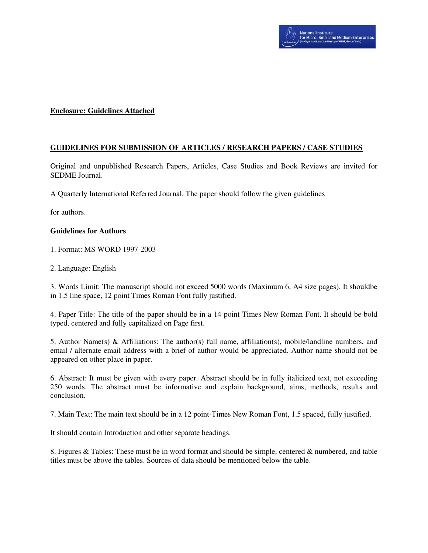# **Enclosure: Guidelines Attached**

# **GUIDELINES FOR SUBMISSION OF ARTICLES / RESEARCH PAPERS / CASE STUDIES**

Original and unpublished Research Papers, Articles, Case Studies and Book Reviews are invited for SEDME Journal.

A Quarterly International Referred Journal. The paper should follow the given guidelines

for authors.

### **Guidelines for Authors**

1. Format: MS WORD 1997-2003

2. Language: English

3. Words Limit: The manuscript should not exceed 5000 words (Maximum 6, A4 size pages). It shouldbe in 1.5 line space, 12 point Times Roman Font fully justified.

4. Paper Title: The title of the paper should be in a 14 point Times New Roman Font. It should be bold typed, centered and fully capitalized on Page first.

5. Author Name(s) & Affiliations: The author(s) full name, affiliation(s), mobile/landline numbers, and email / alternate email address with a brief of author would be appreciated. Author name should not be appeared on other place in paper.

6. Abstract: It must be given with every paper. Abstract should be in fully italicized text, not exceeding 250 words. The abstract must be informative and explain background, aims, methods, results and conclusion.

7. Main Text: The main text should be in a 12 point-Times New Roman Font, 1.5 spaced, fully justified.

It should contain Introduction and other separate headings.

8. Figures & Tables: These must be in word format and should be simple, centered & numbered, and table titles must be above the tables. Sources of data should be mentioned below the table.